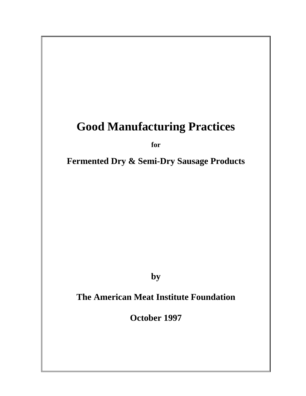# **Good Manufacturing Practices**

*for for* 

 **Fermented Dry & Semi-Dry Sausage Products**

**by** 

 **The American Meat Institute Foundation** 

 **October 1997**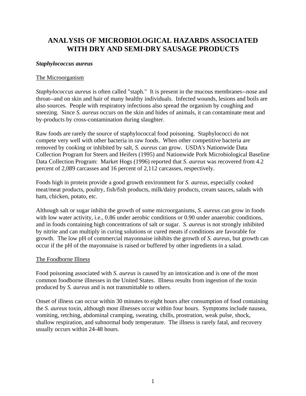# **ANALYSIS OF MICROBIOLOGICAL HAZARDS ASSOCIATED WITH DRY AND SEMI-DRY SAUSAGE PRODUCTS**

#### *Staphylococcus aureus*

#### The Microorganism

*Staphylococcus aureus* is often called "staph." It is present in the mucous membranes--nose and throat--and on skin and hair of many healthy individuals. Infected wounds, lesions and boils are also sources. People with respiratory infections also spread the organism by coughing and sneezing. Since *S. aureus* occurs on the skin and hides of animals, it can contaminate meat and by-products by cross-contamination during slaughter.

Raw foods are rarely the source of staphylococcal food poisoning. Staphylococci do not compete very well with other bacteria in raw foods. When other competitive bacteria are removed by cooking or inhibited by salt, *S. aureus* can grow. USDA's Nationwide Data Collection Program for Steers and Heifers (1995) and Nationwide Pork Microbiological Baseline Data Collection Program: Market Hogs (1996) reported that *S. aureus* was recovered from 4.2 percent of 2,089 carcasses and 16 percent of 2,112 carcasses, respectively.

Foods high in protein provide a good growth environment for *S. aureus*, especially cooked meat/meat products, poultry, fish/fish products, milk/dairy products, cream sauces, salads with ham, chicken, potato, etc.

Although salt or sugar inhibit the growth of some microorganisms, *S. aureus* can grow in foods with low water activity, i.e., 0.86 under aerobic conditions or 0.90 under anaerobic conditions, and in foods containing high concentrations of salt or sugar. *S. aureus* is not strongly inhibited by nitrite and can multiply in curing solutions or cured meats if conditions are favorable for growth. The low pH of commercial mayonnaise inhibits the growth of *S. aureus*, but growth can occur if the pH of the mayonnaise is raised or buffered by other ingredients in a salad.

#### The Foodborne Illness

Food poisoning associated with *S. aureus* is caused by an intoxication and is one of the most common foodborne illnesses in the United States. Illness results from ingestion of the toxin produced by *S. aureus* and is not transmittable to others.

Onset of illness can occur within 30 minutes to eight hours after consumption of food containing the *S. aureus* toxin, although most illnesses occur within four hours. Symptoms include nausea, vomiting, retching, abdominal cramping, sweating, chills, prostration, weak pulse, shock, shallow respiration, and subnormal body temperature. The illness is rarely fatal, and recovery usually occurs within 24-48 hours.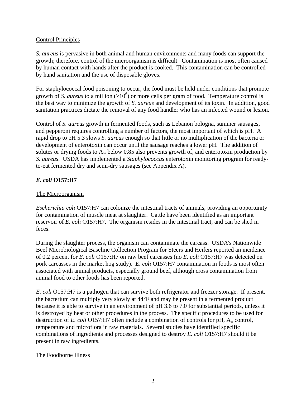#### Control Principles

*S. aureus* is pervasive in both animal and human environments and many foods can support the growth; therefore, control of the microorganism is difficult. Contamination is most often caused by human contact with hands after the product is cooked. This contamination can be controlled by hand sanitation and the use of disposable gloves.

For staphylococcal food poisoning to occur, the food must be held under conditions that promote growth of *S. aureus* to a million  $(\geq 10^6)$  or more cells per gram of food. Temperature control is the best way to minimize the growth of *S. aureus* and development of its toxin. In addition, good sanitation practices dictate the removal of any food handler who has an infected wound or lesion.

Control of *S. aureus* growth in fermented foods, such as Lebanon bologna, summer sausages, and pepperoni requires controlling a number of factors, the most important of which is pH. A rapid drop to pH 5.3 slows *S. aureus* enough so that little or no multiplication of the bacteria or development of enterotoxin can occur until the sausage reaches a lower pH. The addition of solutes or drying foods to  $A_w$  below 0.85 also prevents growth of, and enterotoxin production by *S. aureus*. USDA has implemented a *Staphylococcus* enterotoxin monitoring program for readyto-eat fermented dry and semi-dry sausages (see Appendix A).

## *E. coli* **O157:H7**

## The Microorganism

*Escherichia coli* O157:H7 can colonize the intestinal tracts of animals, providing an opportunity for contamination of muscle meat at slaughter. Cattle have been identified as an important reservoir of *E. coli* O157:H7. The organism resides in the intestinal tract, and can be shed in feces.

During the slaughter process, the organism can contaminate the carcass. USDA's Nationwide Beef Microbiological Baseline Collection Program for Steers and Heifers reported an incidence of 0.2 percent for *E. coli* O157:H7 on raw beef carcasses (no *E. coli* O157:H7 was detected on pork carcasses in the market hog study). *E. coli* O157:H7 contamination in foods is most often associated with animal products, especially ground beef, although cross contamination from animal food to other foods has been reported.

*E. coli* O157:H7 is a pathogen that can survive both refrigerator and freezer storage. If present, the bacterium can multiply very slowly at 44°F and may be present in a fermented product because it is able to survive in an environment of pH 3.6 to 7.0 for substantial periods, unless it is destroyed by heat or other procedures in the process. The specific procedures to be used for destruction of *E. coli* O157:H7 often include a combination of controls for pH, A<sub>w</sub> control, temperature and microflora in raw materials. Several studies have identified specific combinations of ingredients and processes designed to destroy *E. coli* O157:H7 should it be present in raw ingredients.

#### The Foodborne Illness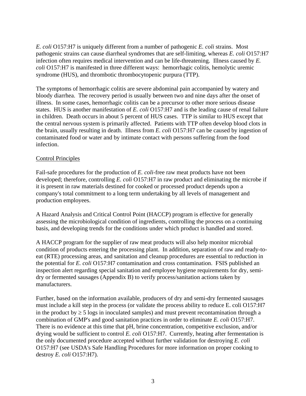*E. coli* O157:H7 is uniquely different from a number of pathogenic *E. coli* strains. Most pathogenic strains can cause diarrheal syndromes that are self-limiting, whereas *E. coli* O157:H7 infection often requires medical intervention and can be life-threatening. Illness caused by *E. coli* O157:H7 is manifested in three different ways: hemorrhagic colitis, hemolytic uremic syndrome (HUS), and thrombotic thrombocytopenic purpura (TTP).

The symptoms of hemorrhagic colitis are severe abdominal pain accompanied by watery and bloody diarrhea. The recovery period is usually between two and nine days after the onset of illness. In some cases, hemorrhagic colitis can be a precursor to other more serious disease states. HUS is another manifestation of *E. coli* O157:H7 and is the leading cause of renal failure in children. Death occurs in about 5 percent of HUS cases. TTP is similar to HUS except that the central nervous system is primarily affected. Patients with TTP often develop blood clots in the brain, usually resulting in death. Illness from *E. coli* O157:H7 can be caused by ingestion of contaminated food or water and by intimate contact with persons suffering from the food infection.

#### Control Principles

Fail-safe procedures for the production of *E. coli*-free raw meat products have not been developed; therefore, controlling *E. coli* O157:H7 in raw product and eliminating the microbe if it is present in raw materials destined for cooked or processed product depends upon a company's total commitment to a long term undertaking by all levels of management and production employees.

A Hazard Analysis and Critical Control Point (HACCP) program is effective for generally assessing the microbiological condition of ingredients, controlling the process on a continuing basis, and developing trends for the conditions under which product is handled and stored.

A HACCP program for the supplier of raw meat products will also help monitor microbial condition of products entering the processing plant. In addition, separation of raw and ready-toeat (RTE) processing areas, and sanitation and cleanup procedures are essential to reduction in the potential for *E. coli* O157:H7 contamination and cross contamination. FSIS published an inspection alert regarding special sanitation and employee hygiene requirements for dry, semidry or fermented sausages (Appendix B) to verify process/sanitation actions taken by manufacturers.

Further, based on the information available, producers of dry and semi-dry fermented sausages must include a kill step in the process (or validate the process ability to reduce E. coli O157:H7 in the product by  $\geq 5$  logs in inoculated samples) and must prevent recontamination through a combination of GMP's and good sanitation practices in order to eliminate *E. coli* O157:H7. There is no evidence at this time that pH, brine concentration, competitive exclusion, and/or drying would be sufficient to control *E. coli* O157:H7. Currently, heating after fermentation is the only documented procedure accepted without further validation for destroying *E. coli* O157:H7 (see USDA's Safe Handling Procedures for more information on proper cooking to destroy *E. coli* O157:H7).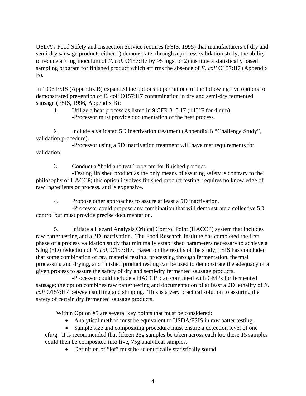USDA's Food Safety and Inspection Service requires (FSIS, 1995) that manufacturers of dry and semi-dry sausage products either 1) demonstrate, through a process validation study, the ability to reduce a 7 log inoculum of *E. coli* O157:H7 by ≥5 logs, or 2) institute a statistically based sampling program for finished product which affirms the absence of *E. coli* O157:H7 (Appendix B).

In 1996 FSIS (Appendix B) expanded the options to permit one of the following five options for demonstrated prevention of E. coli O157:H7 contamination in dry and semi-dry fermented sausage (FSIS, 1996, Appendix B):

 1. Utilize a heat process as listed in 9 CFR 318.17 (145°F for 4 min). -Processor must provide documentation of the heat process.

 2. Include a validated 5D inactivation treatment (Appendix B "Challenge Study", validation procedure).

 -Processor using a 5D inactivation treatment will have met requirements for validation.

3. Conduct a "hold and test" program for finished product.

 -Testing finished product as the only means of assuring safety is contrary to the philosophy of HACCP; this option involves finished product testing, requires no knowledge of raw ingredients or process, and is expensive.

4. Propose other approaches to assure at least a 5D inactivation.

 -Processor could propose any combination that will demonstrate a collective 5D control but must provide precise documentation.

 5. Initiate a Hazard Analysis Critical Control Point (HACCP) system that includes raw batter testing and a 2D inactivation. The Food Research Institute has completed the first phase of a process validation study that minimally established parameters necessary to achieve a 5 log (5D) reduction of *E. coli* O157:H7. Based on the results of the study, FSIS has concluded that some combination of raw material testing, processing through fermentation, thermal processing and drying, and finished product testing can be used to demonstrate the adequacy of a given process to assure the safety of dry and semi-dry fermented sausage products.

 -Processor could include a HACCP plan combined with GMPs for fermented sausage; the option combines raw batter testing and documentation of at least a 2D lethality of *E. coli* O157:H7 between stuffing and shipping. This is a very practical solution to assuring the safety of certain dry fermented sausage products.

Within Option #5 are several key points that must be considered:

- Analytical method must be equivalent to USDA/FSIS in raw batter testing.
- Sample size and compositing procedure must ensure a detection level of one

cfu/g. It is recommended that fifteen 25g samples be taken across each lot; these 15 samples could then be composited into five, 75g analytical samples.

• Definition of "lot" must be scientifically statistically sound.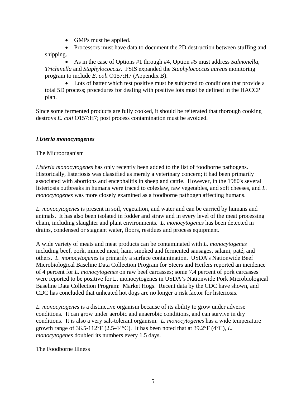- GMPs must be applied.
- Processors must have data to document the 2D destruction between stuffing and shipping.

• As in the case of Options #1 through #4, Option #5 must address *Salmonella*, *Trichinella* and *Staphylococcus*. FSIS expanded the *Staphylococcus aureus* monitoring program to include *E. coli* O157:H7 (Appendix B).

• Lots of batter which test positive must be subjected to conditions that provide a total 5D process; procedures for dealing with positive lots must be defined in the HACCP plan.

Since some fermented products are fully cooked, it should be reiterated that thorough cooking destroys *E. coli* O157:H7; post process contamination must be avoided.

#### *Listeria monocytogenes*

#### The Microorganism

*Listeria monocytogenes* has only recently been added to the list of foodborne pathogens. Historically, listeriosis was classified as merely a veterinary concern; it had been primarily associated with abortions and encephalitis in sheep and cattle. However, in the 1980's several listeriosis outbreaks in humans were traced to coleslaw, raw vegetables, and soft cheeses, and *L. monocytogenes* was more closely examined as a foodborne pathogen affecting humans.

*L. monocytogenes* is present in soil, vegetation, and water and can be carried by humans and animals. It has also been isolated in fodder and straw and in every level of the meat processing chain, including slaughter and plant environments. *L. monocytogenes* has been detected in drains, condensed or stagnant water, floors, residues and process equipment.

A wide variety of meats and meat products can be contaminated with *L. monocytogenes* including beef, pork, minced meat, ham, smoked and fermented sausages, salami, paté, and others. *L. monocytogenes* is primarily a surface contamination. USDA's Nationwide Beef Microbiological Baseline Data Collection Program for Steers and Heifers reported an incidence of 4 percent for *L. monocytogenes* on raw beef carcasses; some 7.4 percent of pork carcasses were reported to be positive for L. monocytogenes in USDA's Nationwide Pork Microbiological Baseline Data Collection Program: Market Hogs. Recent data by the CDC have shown, and CDC has concluded that unheated hot dogs are no longer a risk factor for listeriosis.

*L. monocytogenes* is a distinctive organism because of its ability to grow under adverse conditions. It can grow under aerobic and anaerobic conditions, and can survive in dry conditions. It is also a very salt-tolerant organism. *L. monocytogenes* has a wide temperature growth range of  $36.5{\text -}112^{\circ}F (2.5{\text -}44^{\circ}C)$ . It has been noted that at  $39.2^{\circ}F (4^{\circ}C)$ , *L*. *monocytogenes* doubled its numbers every 1.5 days.

## The Foodborne Illness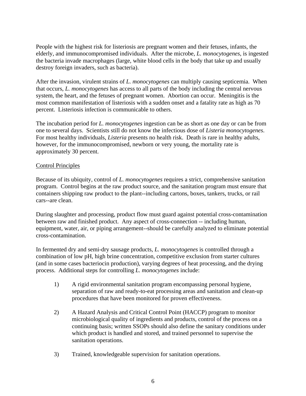People with the highest risk for listeriosis are pregnant women and their fetuses, infants, the elderly, and immunocompromised individuals. After the microbe, *L. monocytogenes*, is ingested the bacteria invade macrophages (large, white blood cells in the body that take up and usually destroy foreign invaders, such as bacteria).

After the invasion, virulent strains of *L. monocytogenes* can multiply causing septicemia. When that occurs, *L. monocytogenes* has access to all parts of the body including the central nervous system, the heart, and the fetuses of pregnant women. Abortion can occur. Meningitis is the most common manifestation of listeriosis with a sudden onset and a fatality rate as high as 70 percent. Listeriosis infection is communicable to others.

The incubation period for *L. monocytogenes* ingestion can be as short as one day or can be from one to several days. Scientists still do not know the infectious dose of *Listeria monocytogenes*. For most healthy individuals, *Listeria* presents no health risk. Death is rare in healthy adults, however, for the immunocompromised, newborn or very young, the mortality rate is approximately 30 percent.

#### Control Principles

Because of its ubiquity, control of *L. monocytogenes* requires a strict, comprehensive sanitation program. Control begins at the raw product source, and the sanitation program must ensure that containers shipping raw product to the plant--including cartons, boxes, tankers, trucks, or rail cars--are clean.

During slaughter and processing, product flow must guard against potential cross-contamination between raw and finished product. Any aspect of cross-connection -- including human, equipment, water, air, or piping arrangement--should be carefully analyzed to eliminate potential cross-contamination.

In fermented dry and semi-dry sausage products, *L. monocytogenes* is controlled through a combination of low pH, high brine concentration, competitive exclusion from starter cultures (and in some cases bacteriocin production), varying degrees of heat processing, and the drying process. Additional steps for controlling *L. monocytogenes* include:

- 1) A rigid environmental sanitation program encompassing personal hygiene, separation of raw and ready-to-eat processing areas and sanitation and clean-up procedures that have been monitored for proven effectiveness.
- 2) A Hazard Analysis and Critical Control Point (HACCP) program to monitor microbiological quality of ingredients and products, control of the process on a continuing basis; written SSOPs should also define the sanitary conditions under which product is handled and stored, and trained personnel to supervise the sanitation operations.
- 3) Trained, knowledgeable supervision for sanitation operations.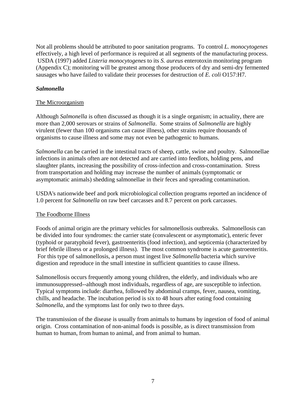Not all problems should be attributed to poor sanitation programs. To control *L. monocytogenes* effectively, a high level of performance is required at all segments of the manufacturing process. USDA (1997) added *Listeria monocytogenes* to its *S. aureus* enterotoxin monitoring program (Appendix C); monitoring will be greatest among those producers of dry and semi-dry fermented sausages who have failed to validate their processes for destruction of *E. coli* O157:H7.

#### *Salmonella*

#### The Microorganism

Although *Salmonella* is often discussed as though it is a single organism; in actuality, there are more than 2,000 serovars or strains of *Salmonella*. Some strains of *Salmonella* are highly virulent (fewer than 100 organisms can cause illness), other strains require thousands of organisms to cause illness and some may not even be pathogenic to humans.

*Salmonella* can be carried in the intestinal tracts of sheep, cattle, swine and poultry. Salmonellae infections in animals often are not detected and are carried into feedlots, holding pens, and slaughter plants, increasing the possibility of cross-infection and cross-contamination. Stress from transportation and holding may increase the number of animals (symptomatic or asymptomatic animals) shedding salmonellae in their feces and spreading contamination.

USDA's nationwide beef and pork microbiological collection programs reported an incidence of 1.0 percent for *Salmonella* on raw beef carcasses and 8.7 percent on pork carcasses.

#### The Foodborne Illness

Foods of animal origin are the primary vehicles for salmonellosis outbreaks. Salmonellosis can be divided into four syndromes: the carrier state (convalescent or asymptomatic), enteric fever (typhoid or paratyphoid fever), gastroenteritis (food infection), and septicemia (characterized by brief febrile illness or a prolonged illness). The most common syndrome is acute gastroenteritis. For this type of salmonellosis, a person must ingest live *Salmonella* bacteria which survive digestion and reproduce in the small intestine in sufficient quantities to cause illness.

Salmonellosis occurs frequently among young children, the elderly, and individuals who are immunosuppressed--although most individuals, regardless of age, are susceptible to infection. Typical symptoms include: diarrhea, followed by abdominal cramps, fever, nausea, vomiting, chills, and headache. The incubation period is six to 48 hours after eating food containing *Salmonella*, and the symptoms last for only two to three days.

The transmission of the disease is usually from animals to humans by ingestion of food of animal origin. Cross contamination of non-animal foods is possible, as is direct transmission from human to human, from human to animal, and from animal to human.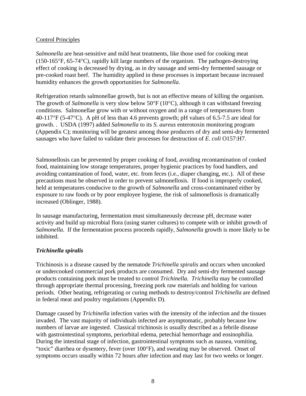#### Control Principles

*Salmonella* are heat-sensitive and mild heat treatments, like those used for cooking meat (150-165°F, 65-74°C), rapidly kill large numbers of the organism. The pathogen-destroying effect of cooking is decreased by drying, as in dry sausage and semi-dry fermented sausage or pre-cooked roast beef. The humidity applied in these processes is important because increased humidity enhances the growth opportunities for *Salmonella*.

Refrigeration retards salmonellae growth, but is not an effective means of killing the organism. The growth of *Salmonella* is very slow below 50°F (10°C), although it can withstand freezing conditions. Salmonellae grow with or without oxygen and in a range of temperatures from 40-117°F (5-47°C). A pH of less than 4.6 prevents growth; pH values of 6.5-7.5 are ideal for growth. . USDA (1997) added *Salmonella* to its *S. aureus* enterotoxin monitoring program (Appendix C); monitoring will be greatest among those producers of dry and semi-dry fermented sausages who have failed to validate their processes for destruction of *E. coli* O157:H7.

Salmonellosis can be prevented by proper cooking of food, avoiding recontamination of cooked food, maintaining low storage temperatures, proper hygienic practices by food handlers, and avoiding contamination of food, water, etc. from feces (i.e., diaper changing, etc.). All of these precautions must be observed in order to prevent salmonellosis. If food is improperly cooked, held at temperatures conducive to the growth of *Salmonella* and cross-contaminated either by exposure to raw foods or by poor employee hygiene, the risk of salmonellosis is dramatically increased (Oblinger, 1988).

In sausage manufacturing, fermentation must simultaneously decrease pH, decrease water activity and build up microbial flora (using starter cultures) to compete with or inhibit growth of *Salmonella*. If the fermentation process proceeds rapidly, *Salmonella* growth is more likely to be inhibited.

#### *Trichinella spiralis*

Trichinosis is a disease caused by the nematode *Trichinella spiralis* and occurs when uncooked or undercooked commercial pork products are consumed. Dry and semi-dry fermented sausage products containing pork must be treated to control *Trichinella*. *Trichinella* may be controlled through appropriate thermal processing, freezing pork raw materials and holding for various periods. Other heating, refrigerating or curing methods to destroy/control *Trichinella* are defined in federal meat and poultry regulations (Appendix D).

Damage caused by *Trichinella* infection varies with the intensity of the infection and the tissues invaded. The vast majority of individuals infected are asymptomatic, probably because low numbers of larvae are ingested. Classical trichinosis is usually described as a febrile disease with gastrointestinal symptoms, periorbital edema, petechial hemorrhage and eosinophilia. During the intestinal stage of infection, gastrointestinal symptoms such as nausea, vomiting, "toxic" diarrhea or dysentery, fever (over 100°F), and sweating may be observed. Onset of symptoms occurs usually within 72 hours after infection and may last for two weeks or longer.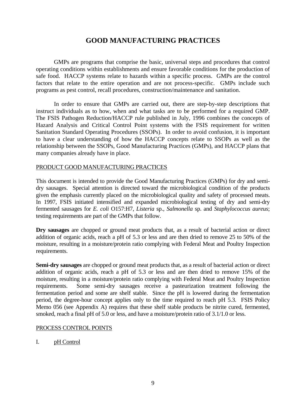## **GOOD MANUFACTURING PRACTICES**

 GMPs are programs that comprise the basic, universal steps and procedures that control operating conditions within establishments and ensure favorable conditions for the production of safe food. HACCP systems relate to hazards within a specific process. GMPs are the control factors that relate to the entire operation and are not process-specific. GMPs include such programs as pest control, recall procedures, construction/maintenance and sanitation.

 In order to ensure that GMPs are carried out, there are step-by-step descriptions that instruct individuals as to how, when and what tasks are to be performed for a required GMP. The FSIS Pathogen Reduction/HACCP rule published in July, 1996 combines the concepts of Hazard Analysis and Critical Control Point systems with the FSIS requirement for written Sanitation Standard Operating Procedures (SSOPs). In order to avoid confusion, it is important to have a clear understanding of how the HACCP concepts relate to SSOPs as well as the relationship between the SSOPs, Good Manufacturing Practices (GMPs), and HACCP plans that many companies already have in place.

#### PRODUCT GOOD MANUFACTURING PRACTICES

This document is intended to provide the Good Manufacturing Practices (GMPs) for dry and semidry sausages. Special attention is directed toward the microbiological condition of the products given the emphasis currently placed on the microbiological quality and safety of processed meats. In 1997, FSIS initiated intensified and expanded microbiological testing of dry and semi-dry fermented sausages for *E. coli* O157:H7, *Listeria* sp., *Salmonella* sp. and *Staphylococcus aureus*; testing requirements are part of the GMPs that follow.

**Dry sausages** are chopped or ground meat products that, as a result of bacterial action or direct addition of organic acids, reach a pH of 5.3 or less and are then dried to remove 25 to 50% of the moisture, resulting in a moisture/protein ratio complying with Federal Meat and Poultry Inspection requirements.

**Semi-dry sausages** are chopped or ground meat products that, as a result of bacterial action or direct addition of organic acids, reach a pH of 5.3 or less and are then dried to remove 15% of the moisture, resulting in a moisture/protein ratio complying with Federal Meat and Poultry Inspection requirements. Some semi-dry sausages receive a pasteurization treatment following the fermentation period and some are shelf stable. Since the pH is lowered during the fermentation period, the degree-hour concept applies only to the time required to reach pH 5.3. FSIS Policy Memo 056 (see Appendix A) requires that these shelf stable products be nitrite cured, fermented, smoked, reach a final pH of 5.0 or less, and have a moisture/protein ratio of 3.1/1.0 or less.

#### PROCESS CONTROL POINTS

I. pH Control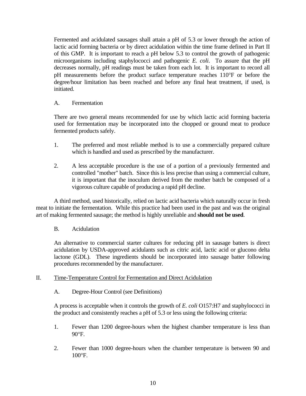Fermented and acidulated sausages shall attain a pH of 5.3 or lower through the action of lactic acid forming bacteria or by direct acidulation within the time frame defined in Part II of this GMP. It is important to reach a pH below 5.3 to control the growth of pathogenic microorganisms including staphylococci and pathogenic *E. coli*. To assure that the pH decreases normally, pH readings must be taken from each lot. It is important to record all pH measurements before the product surface temperature reaches 110°F or before the degree/hour limitation has been reached and before any final heat treatment, if used, is initiated.

#### A. Fermentation

 There are two general means recommended for use by which lactic acid forming bacteria used for fermentation may be incorporated into the chopped or ground meat to produce fermented products safely.

- 1. The preferred and most reliable method is to use a commercially prepared culture which is handled and used as prescribed by the manufacturer.
- 2. A less acceptable procedure is the use of a portion of a previously fermented and controlled "mother" batch. Since this is less precise than using a commercial culture, it is important that the inoculum derived from the mother batch be composed of a vigorous culture capable of producing a rapid pH decline.

 A third method, used historically, relied on lactic acid bacteria which naturally occur in fresh meat to initiate the fermentation. While this practice had been used in the past and was the original art of making fermented sausage; the method is highly unreliable and **should not be used**.

#### B. Acidulation

 An alternative to commercial starter cultures for reducing pH in sausage batters is direct acidulation by USDA-approved acidulants such as citric acid, lactic acid or glucono delta lactone (GDL). These ingredients should be incorporated into sausage batter following procedures recommended by the manufacturer.

#### II. Time-Temperature Control for Fermentation and Direct Acidulation

A. Degree-Hour Control (see Definitions)

 A process is acceptable when it controls the growth of *E. coli* O157:H7 and staphylococci in the product and consistently reaches a pH of 5.3 or less using the following criteria:

- 1. Fewer than 1200 degree-hours when the highest chamber temperature is less than  $90^{\circ}$ F.
- 2. Fewer than 1000 degree-hours when the chamber temperature is between 90 and 100°F.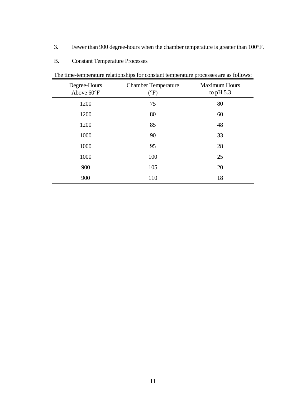- 3. Fewer than 900 degree-hours when the chamber temperature is greater than 100°F.
- B. Constant Temperature Processes

| Degree-Hours<br>Above 60°F | <b>Chamber Temperature</b><br>$(^{\circ}F)$ | <b>Maximum Hours</b><br>to pH $5.3$ |
|----------------------------|---------------------------------------------|-------------------------------------|
| 1200                       | 75                                          | 80                                  |
| 1200                       | 80                                          | 60                                  |
| 1200                       | 85                                          | 48                                  |
| 1000                       | 90                                          | 33                                  |
| 1000                       | 95                                          | 28                                  |
| 1000                       | 100                                         | 25                                  |
| 900                        | 105                                         | 20                                  |
| 900                        | 110                                         | 18                                  |

The time-temperature relationships for constant temperature processes are as follows: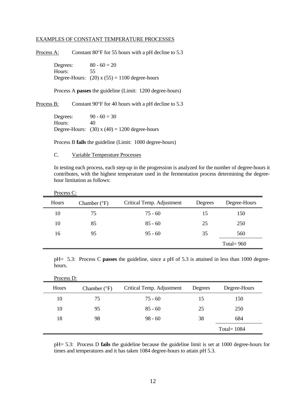#### EXAMPLES OF CONSTANT TEMPERATURE PROCESSES

Process A: Constant 80°F for 55 hours with a pH decline to 5.3

Degrees:  $80 - 60 = 20$ Hours: 55 Degree-Hours:  $(20)$  x  $(55) = 1100$  degree-hours

Process A **passes** the guideline (Limit: 1200 degree-hours)

Process B: Constant 90°F for 40 hours with a pH decline to 5.3

Degrees:  $90 - 60 = 30$ Hours: 40 Degree-Hours:  $(30)$  x  $(40) = 1200$  degree-hours

Process B **fails** the guideline (Limit: 1000 degree-hours)

#### C. Variable Temperature Processes

 In testing each process, each step-up in the progression is analyzed for the number of degree-hours it contributes, with the highest temperature used in the fermentation process determining the degreehour limitation as follows:

| Process C: |  |
|------------|--|
|            |  |

| Hours | Chamber $(^{\circ}F)$ | Critical Temp. Adjustment | Degrees | Degree-Hours |
|-------|-----------------------|---------------------------|---------|--------------|
| 10    | 75                    | $75 - 60$                 | 15      | 150          |
| 10    | 85                    | $85 - 60$                 | 25      | 250          |
| 16    | 95                    | $95 - 60$                 | 35      | 560          |
|       |                       |                           |         | Total= $960$ |

 pH= 5.3: Process C **passes** the guideline, since a pH of 5.3 is attained in less than 1000 degreehours.

| Hours | Chamber $(^{\circ}F)$ | Critical Temp. Adjustment | Degrees | Degree-Hours   |
|-------|-----------------------|---------------------------|---------|----------------|
| 10    | 75                    | 75 - 60                   | 15      | 150            |
| 10    | 95                    | $85 - 60$                 | 25      | 250            |
| 18    | 98                    | $98 - 60$                 | 38      | 684            |
|       |                       |                           |         | Total = $1084$ |

 pH= 5.3: Process D **fails** the guideline because the guideline limit is set at 1000 degree-hours for times and temperatures and it has taken 1084 degree-hours to attain pH 5.3.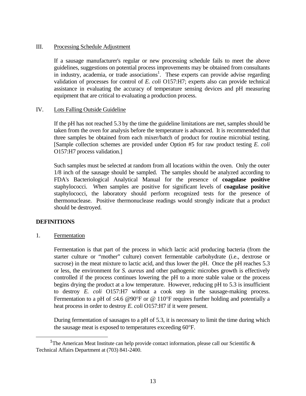#### III. Processing Schedule Adjustment

 If a sausage manufacturer's regular or new processing schedule fails to meet the above guidelines, suggestions on potential process improvements may be obtained from consultants in industry, academia, or trade associations<sup>1</sup>. These experts can provide advise regarding validation of processes for control of *E. coli* O157:H7; experts also can provide technical assistance in evaluating the accuracy of temperature sensing devices and pH measuring equipment that are critical to evaluating a production process.

#### IV. Lots Falling Outside Guideline

 If the pH has not reached 5.3 by the time the guideline limitations are met, samples should be taken from the oven for analysis before the temperature is advanced. It is recommended that three samples be obtained from each mixer/batch of product for routine microbial testing. [Sample collection schemes are provided under Option #5 for raw product testing *E. coli* O157:H7 process validation.]

 Such samples must be selected at random from all locations within the oven. Only the outer 1/8 inch of the sausage should be sampled. The samples should be analyzed according to FDA's Bacteriological Analytical Manual for the presence of **coagulase positive** staphylococci. When samples are positive for significant levels of **coagulase positive** staphylococci, the laboratory should perform recognized tests for the presence of thermonuclease. Positive thermonuclease readings would strongly indicate that a product should be destroyed.

#### **DEFINITIONS**

1. Fermentation

 Fermentation is that part of the process in which lactic acid producing bacteria (from the starter culture or "mother" culture) convert fermentable carbohydrate (i.e., dextrose or sucrose) in the meat mixture to lactic acid, and thus lower the pH. Once the pH reaches 5.3 or less, the environment for *S. aureus* and other pathogenic microbes growth is effectively controlled if the process continues lowering the pH to a more stable value or the process begins drying the product at a low temperature. However, reducing pH to 5.3 is insufficient to destroy *E. coli* O157:H7 without a cook step in the sausage-making process. Fermentation to a pH of  $\leq 4.6$  @90°F or @ 110°F requires further holding and potentially a heat process in order to destroy *E. coli* O157:H7 if it were present.

 During fermentation of sausages to a pH of 5.3, it is necessary to limit the time during which the sausage meat is exposed to temperatures exceeding 60°F.

i <sup>1</sup>The American Meat Institute can help provide contact information, please call our Scientific & Technical Affairs Department at (703) 841-2400.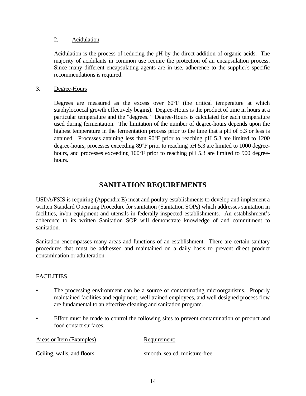#### 2. Acidulation

 Acidulation is the process of reducing the pH by the direct addition of organic acids. The majority of acidulants in common use require the protection of an encapsulation process. Since many different encapsulating agents are in use, adherence to the supplier's specific recommendations is required.

#### 3. Degree-Hours

Degrees are measured as the excess over  $60^{\circ}$ F (the critical temperature at which staphylococcal growth effectively begins). Degree-Hours is the product of time in hours at a particular temperature and the "degrees." Degree-Hours is calculated for each temperature used during fermentation. The limitation of the number of degree-hours depends upon the highest temperature in the fermentation process prior to the time that a pH of 5.3 or less is attained. Processes attaining less than 90°F prior to reaching pH 5.3 are limited to 1200 degree-hours, processes exceeding 89°F prior to reaching pH 5.3 are limited to 1000 degreehours, and processes exceeding 100°F prior to reaching pH 5.3 are limited to 900 degreehours.

## **SANITATION REQUIREMENTS**

USDA/FSIS is requiring (Appendix E) meat and poultry establishments to develop and implement a written Standard Operating Procedure for sanitation (Sanitation SOPs) which addresses sanitation in facilities, in/on equipment and utensils in federally inspected establishments. An establishment's adherence to its written Sanitation SOP will demonstrate knowledge of and commitment to sanitation.

Sanitation encompasses many areas and functions of an establishment. There are certain sanitary procedures that must be addressed and maintained on a daily basis to prevent direct product contamination or adulteration.

#### **FACILITIES**

- The processing environment can be a source of contaminating microorganisms. Properly maintained facilities and equipment, well trained employees, and well designed process flow are fundamental to an effective cleaning and sanitation program.
- Effort must be made to control the following sites to prevent contamination of product and food contact surfaces.

| Areas or Item (Examples)   | Requirement:                  |
|----------------------------|-------------------------------|
| Ceiling, walls, and floors | smooth, sealed, moisture-free |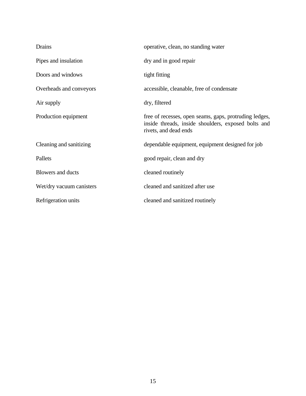| Drains                   | operative, clean, no standing water                                                                                                    |
|--------------------------|----------------------------------------------------------------------------------------------------------------------------------------|
| Pipes and insulation     | dry and in good repair                                                                                                                 |
| Doors and windows        | tight fitting                                                                                                                          |
| Overheads and conveyors  | accessible, cleanable, free of condensate                                                                                              |
| Air supply               | dry, filtered                                                                                                                          |
| Production equipment     | free of recesses, open seams, gaps, protruding ledges,<br>inside threads, inside shoulders, exposed bolts and<br>rivets, and dead ends |
| Cleaning and sanitizing  | dependable equipment, equipment designed for job                                                                                       |
| Pallets                  | good repair, clean and dry                                                                                                             |
| <b>Blowers and ducts</b> | cleaned routinely                                                                                                                      |
| Wet/dry vacuum canisters | cleaned and sanitized after use                                                                                                        |
| Refrigeration units      | cleaned and sanitized routinely                                                                                                        |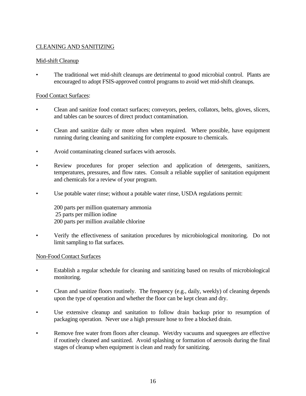#### CLEANING AND SANITIZING

#### Mid-shift Cleanup

• The traditional wet mid-shift cleanups are detrimental to good microbial control. Plants are encouraged to adopt FSIS-approved control programs to avoid wet mid-shift cleanups.

#### Food Contact Surfaces:

- Clean and sanitize food contact surfaces; conveyors, peelers, collators, belts, gloves, slicers, and tables can be sources of direct product contamination.
- Clean and sanitize daily or more often when required. Where possible, have equipment running during cleaning and sanitizing for complete exposure to chemicals.
- Avoid contaminating cleaned surfaces with aerosols.
- Review procedures for proper selection and application of detergents, sanitizers, temperatures, pressures, and flow rates. Consult a reliable supplier of sanitation equipment and chemicals for a review of your program.
- Use potable water rinse; without a potable water rinse, USDA regulations permit:

 200 parts per million quaternary ammonia 25 parts per million iodine 200 parts per million available chlorine

• Verify the effectiveness of sanitation procedures by microbiological monitoring. Do not limit sampling to flat surfaces.

#### Non-Food Contact Surfaces

- Establish a regular schedule for cleaning and sanitizing based on results of microbiological monitoring.
- Clean and sanitize floors routinely. The frequency (e.g., daily, weekly) of cleaning depends upon the type of operation and whether the floor can be kept clean and dry.
- Use extensive cleanup and sanitation to follow drain backup prior to resumption of packaging operation. Never use a high pressure hose to free a blocked drain.
- Remove free water from floors after cleanup. Wet/dry vacuums and squeegees are effective if routinely cleaned and sanitized. Avoid splashing or formation of aerosols during the final stages of cleanup when equipment is clean and ready for sanitizing.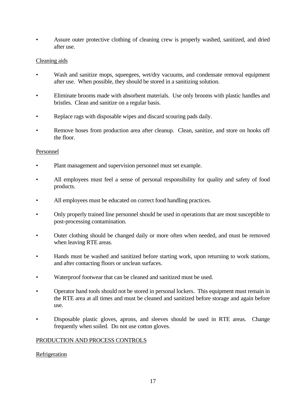• Assure outer protective clothing of cleaning crew is properly washed, sanitized, and dried after use.

#### Cleaning aids

- Wash and sanitize mops, squeegees, wet/dry vacuums, and condensate removal equipment after use. When possible, they should be stored in a sanitizing solution.
- Eliminate brooms made with absorbent materials. Use only brooms with plastic handles and bristles. Clean and sanitize on a regular basis.
- Replace rags with disposable wipes and discard scouring pads daily.
- Remove hoses from production area after cleanup. Clean, sanitize, and store on hooks off the floor.

#### Personnel

- Plant management and supervision personnel must set example.
- All employees must feel a sense of personal responsibility for quality and safety of food products.
- All employees must be educated on correct food handling practices.
- Only properly trained line personnel should be used in operations that are most susceptible to post-processing contamination.
- Outer clothing should be changed daily or more often when needed, and must be removed when leaving RTE areas.
- Hands must be washed and sanitized before starting work, upon returning to work stations, and after contacting floors or unclean surfaces.
- Waterproof footwear that can be cleaned and sanitized must be used.
- Operator hand tools should not be stored in personal lockers. This equipment must remain in the RTE area at all times and must be cleaned and sanitized before storage and again before use.
- Disposable plastic gloves, aprons, and sleeves should be used in RTE areas. Change frequently when soiled. Do not use cotton gloves.

#### PRODUCTION AND PROCESS CONTROLS

#### **Refrigeration**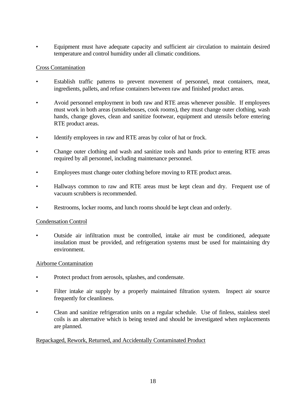• Equipment must have adequate capacity and sufficient air circulation to maintain desired temperature and control humidity under all climatic conditions.

#### Cross Contamination

- Establish traffic patterns to prevent movement of personnel, meat containers, meat, ingredients, pallets, and refuse containers between raw and finished product areas.
- Avoid personnel employment in both raw and RTE areas whenever possible. If employees must work in both areas (smokehouses, cook rooms), they must change outer clothing, wash hands, change gloves, clean and sanitize footwear, equipment and utensils before entering RTE product areas.
- Identify employees in raw and RTE areas by color of hat or frock.
- Change outer clothing and wash and sanitize tools and hands prior to entering RTE areas required by all personnel, including maintenance personnel.
- Employees must change outer clothing before moving to RTE product areas.
- Hallways common to raw and RTE areas must be kept clean and dry. Frequent use of vacuum scrubbers is recommended.
- Restrooms, locker rooms, and lunch rooms should be kept clean and orderly.

#### Condensation Control

• Outside air infiltration must be controlled, intake air must be conditioned, adequate insulation must be provided, and refrigeration systems must be used for maintaining dry environment.

#### Airborne Contamination

- Protect product from aerosols, splashes, and condensate.
- Filter intake air supply by a properly maintained filtration system. Inspect air source frequently for cleanliness.
- Clean and sanitize refrigeration units on a regular schedule. Use of finless, stainless steel coils is an alternative which is being tested and should be investigated when replacements are planned.

#### Repackaged, Rework, Returned, and Accidentally Contaminated Product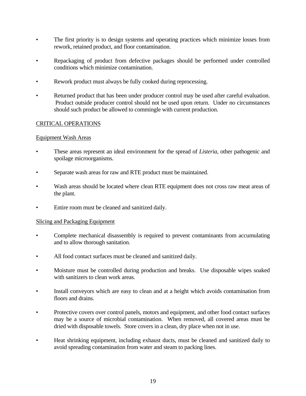- The first priority is to design systems and operating practices which minimize losses from rework, retained product, and floor contamination.
- Repackaging of product from defective packages should be performed under controlled conditions which minimize contamination.
- Rework product must always be fully cooked during reprocessing.
- Returned product that has been under producer control may be used after careful evaluation. Product outside producer control should not be used upon return. Under no circumstances should such product be allowed to commingle with current production.

#### CRITICAL OPERATIONS

#### Equipment Wash Areas

- These areas represent an ideal environment for the spread of *Listeria,* other pathogenic and spoilage microorganisms.
- Separate wash areas for raw and RTE product must be maintained.
- Wash areas should be located where clean RTE equipment does not cross raw meat areas of the plant.
- Entire room must be cleaned and sanitized daily.

#### Slicing and Packaging Equipment

- Complete mechanical disassembly is required to prevent contaminants from accumulating and to allow thorough sanitation.
- All food contact surfaces must be cleaned and sanitized daily.
- Moisture must be controlled during production and breaks. Use disposable wipes soaked with sanitizers to clean work areas.
- Install conveyors which are easy to clean and at a height which avoids contamination from floors and drains.
- Protective covers over control panels, motors and equipment, and other food contact surfaces may be a source of microbial contamination. When removed, all covered areas must be dried with disposable towels. Store covers in a clean, dry place when not in use.
- Heat shrinking equipment, including exhaust ducts, must be cleaned and sanitized daily to avoid spreading contamination from water and steam to packing lines.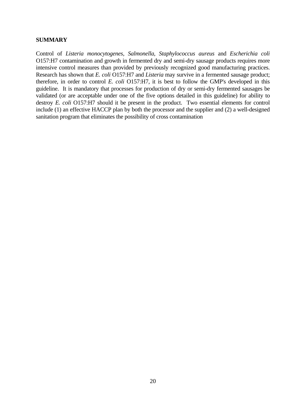#### **SUMMARY**

Control of *Listeria monocytogenes*, *Salmonella*, *Staphylococcus aureus* and *Escherichia coli* O157:H7 contamination and growth in fermented dry and semi-dry sausage products requires more intensive control measures than provided by previously recognized good manufacturing practices. Research has shown that *E. coli* O157:H7 and *Listeria* may survive in a fermented sausage product; therefore, in order to control *E. coli* O157:H7, it is best to follow the GMP's developed in this guideline. It is mandatory that processes for production of dry or semi-dry fermented sausages be validated (or are acceptable under one of the five options detailed in this guideline) for ability to destroy *E. coli* O157:H7 should it be present in the product. Two essential elements for control include (1) an effective HACCP plan by both the processor and the supplier and (2) a well-designed sanitation program that eliminates the possibility of cross contamination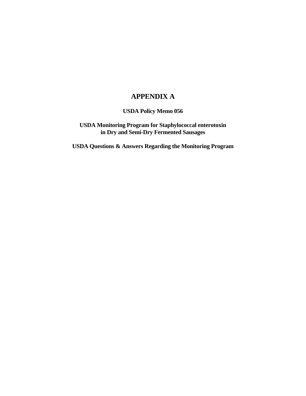## **APPENDIX A**

 **USDA Policy Memo 056**

 **USDA Monitoring Program for Staphylococcal enterotoxin in Dry and Semi-Dry Fermented Sausages**

 **USDA Questions & Answers Regarding the Monitoring Program**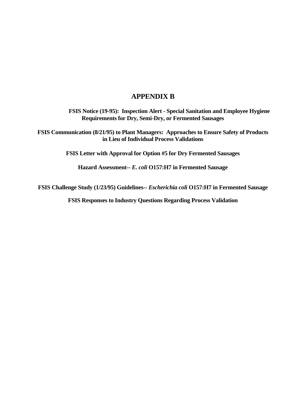## **APPENDIX B**

 **FSIS Notice (19-95): Inspection Alert - Special Sanitation and Employee Hygiene Requirements for Dry, Semi-Dry, or Fermented Sausages** 

**FSIS Communication (8/21/95) to Plant Managers: Approaches to Ensure Safety of Products in Lieu of Individual Process Validations** 

**FSIS Letter with Approval for Option #5 for Dry Fermented Sausages** 

**Hazard Assessment--** *E. coli* **O157:H7 in Fermented Sausage** 

**FSIS Challenge Study (1/23/95) Guidelines--** *Escherichia coli* **O157:H7 in Fermented Sausage** 

**FSIS Responses to Industry Questions Regarding Process Validation**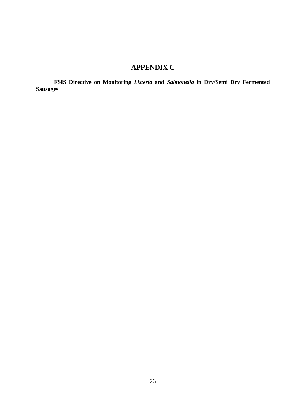## **APPENDIX C**

 **FSIS Directive on Monitoring** *Listeria* **and** *Salmonella* **in Dry/Semi Dry Fermented Sausages**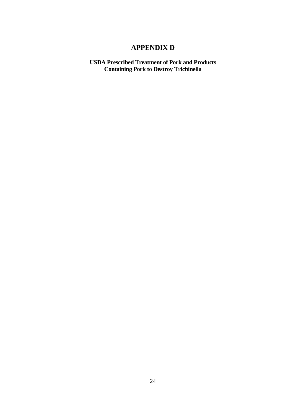## **APPENDIX D**

 **USDA Prescribed Treatment of Pork and Products Containing Pork to Destroy Trichinella**